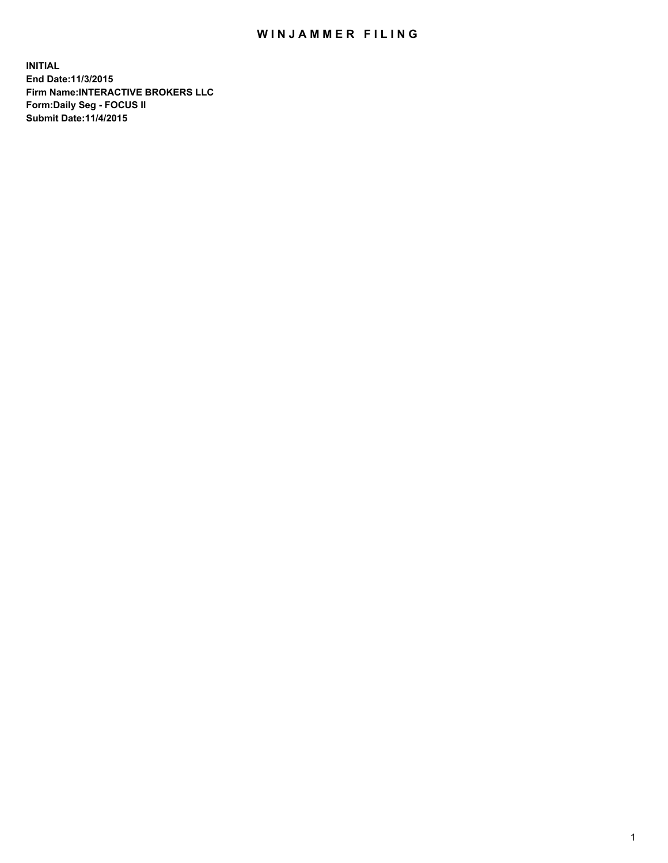## WIN JAMMER FILING

**INITIAL End Date:11/3/2015 Firm Name:INTERACTIVE BROKERS LLC Form:Daily Seg - FOCUS II Submit Date:11/4/2015**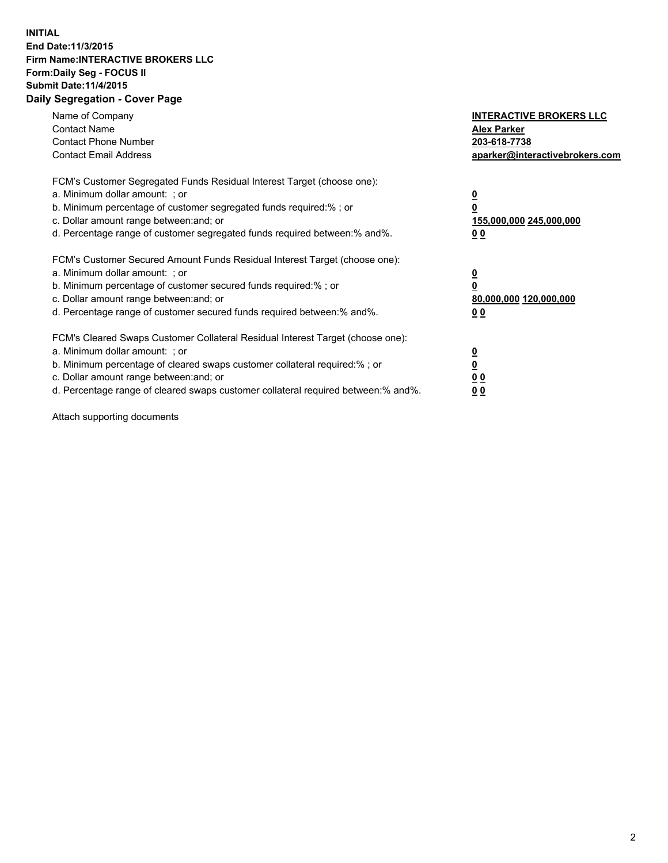## **INITIAL End Date:11/3/2015 Firm Name:INTERACTIVE BROKERS LLC Form:Daily Seg - FOCUS II Submit Date:11/4/2015 Daily Segregation - Cover Page**

| Name of Company<br><b>Contact Name</b><br><b>Contact Phone Number</b><br><b>Contact Email Address</b>                                                                                                                                                                                                                          | <b>INTERACTIVE BROKERS LLC</b><br><b>Alex Parker</b><br>203-618-7738<br>aparker@interactivebrokers.com |
|--------------------------------------------------------------------------------------------------------------------------------------------------------------------------------------------------------------------------------------------------------------------------------------------------------------------------------|--------------------------------------------------------------------------------------------------------|
| FCM's Customer Segregated Funds Residual Interest Target (choose one):<br>a. Minimum dollar amount: ; or<br>b. Minimum percentage of customer segregated funds required:% ; or<br>c. Dollar amount range between: and; or<br>d. Percentage range of customer segregated funds required between:% and%.                         | <u>0</u><br>155,000,000 245,000,000<br><u>00</u>                                                       |
| FCM's Customer Secured Amount Funds Residual Interest Target (choose one):<br>a. Minimum dollar amount: ; or<br>b. Minimum percentage of customer secured funds required:% ; or<br>c. Dollar amount range between: and; or<br>d. Percentage range of customer secured funds required between:% and%.                           | <u>0</u><br>80,000,000 120,000,000<br>0 <sub>0</sub>                                                   |
| FCM's Cleared Swaps Customer Collateral Residual Interest Target (choose one):<br>a. Minimum dollar amount: ; or<br>b. Minimum percentage of cleared swaps customer collateral required:% ; or<br>c. Dollar amount range between: and; or<br>d. Percentage range of cleared swaps customer collateral required between:% and%. | <u>0</u><br>0 <sub>0</sub><br>0 <sub>0</sub>                                                           |

Attach supporting documents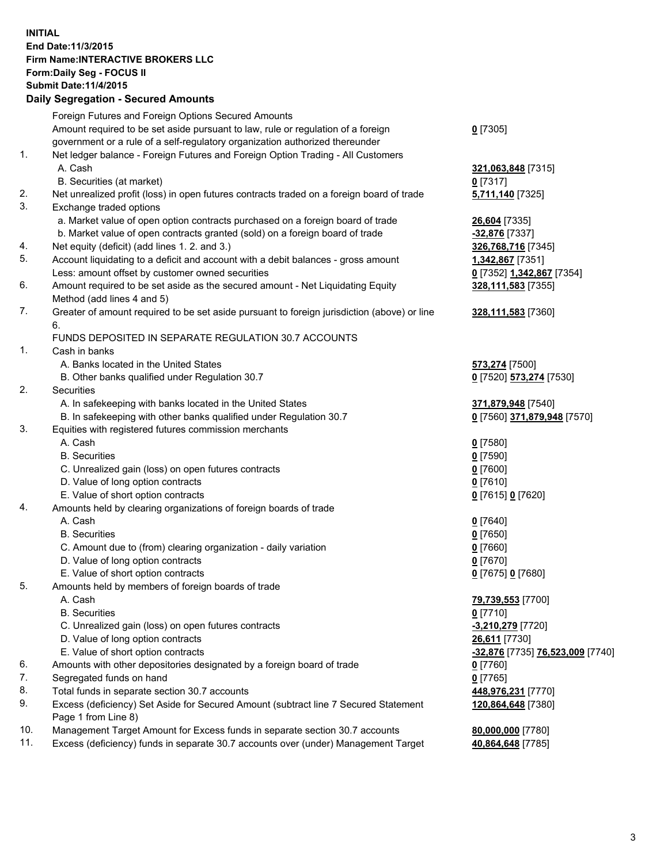## **INITIAL End Date:11/3/2015 Firm Name:INTERACTIVE BROKERS LLC Form:Daily Seg - FOCUS II Submit Date:11/4/2015 Daily Segregation - Secured Amounts**

|     | Daily Jegregation - Jeculed Aniounts                                                        |                                  |
|-----|---------------------------------------------------------------------------------------------|----------------------------------|
|     | Foreign Futures and Foreign Options Secured Amounts                                         |                                  |
|     | Amount required to be set aside pursuant to law, rule or regulation of a foreign            | $0$ [7305]                       |
|     | government or a rule of a self-regulatory organization authorized thereunder                |                                  |
| 1.  | Net ledger balance - Foreign Futures and Foreign Option Trading - All Customers             |                                  |
|     | A. Cash                                                                                     | 321,063,848 [7315]               |
|     | B. Securities (at market)                                                                   | $0$ [7317]                       |
| 2.  | Net unrealized profit (loss) in open futures contracts traded on a foreign board of trade   | 5,711,140 [7325]                 |
| 3.  | Exchange traded options                                                                     |                                  |
|     | a. Market value of open option contracts purchased on a foreign board of trade              | 26,604 [7335]                    |
|     | b. Market value of open contracts granted (sold) on a foreign board of trade                | -32,876 [7337]                   |
| 4.  | Net equity (deficit) (add lines 1. 2. and 3.)                                               | 326,768,716 [7345]               |
| 5.  | Account liquidating to a deficit and account with a debit balances - gross amount           | 1,342,867 [7351]                 |
|     | Less: amount offset by customer owned securities                                            | 0 [7352] 1,342,867 [7354]        |
| 6.  | Amount required to be set aside as the secured amount - Net Liquidating Equity              | 328,111,583 [7355]               |
|     | Method (add lines 4 and 5)                                                                  |                                  |
| 7.  | Greater of amount required to be set aside pursuant to foreign jurisdiction (above) or line | 328,111,583 [7360]               |
|     | 6.                                                                                          |                                  |
|     | FUNDS DEPOSITED IN SEPARATE REGULATION 30.7 ACCOUNTS                                        |                                  |
| 1.  | Cash in banks                                                                               |                                  |
|     | A. Banks located in the United States                                                       | <b>573,274</b> [7500]            |
|     | B. Other banks qualified under Regulation 30.7                                              | 0 [7520] 573,274 [7530]          |
| 2.  | Securities                                                                                  |                                  |
|     | A. In safekeeping with banks located in the United States                                   | 371,879,948 [7540]               |
|     | B. In safekeeping with other banks qualified under Regulation 30.7                          | 0 [7560] 371,879,948 [7570]      |
| 3.  | Equities with registered futures commission merchants                                       |                                  |
|     | A. Cash                                                                                     | $0$ [7580]                       |
|     | <b>B.</b> Securities                                                                        | $0$ [7590]                       |
|     | C. Unrealized gain (loss) on open futures contracts                                         | $0$ [7600]                       |
|     | D. Value of long option contracts                                                           |                                  |
|     | E. Value of short option contracts                                                          | $0$ [7610]                       |
| 4.  | Amounts held by clearing organizations of foreign boards of trade                           | 0 [7615] 0 [7620]                |
|     | A. Cash                                                                                     |                                  |
|     |                                                                                             | $0$ [7640]                       |
|     | <b>B.</b> Securities                                                                        | $0$ [7650]                       |
|     | C. Amount due to (from) clearing organization - daily variation                             | $0$ [7660]                       |
|     | D. Value of long option contracts                                                           | $0$ [7670]                       |
|     | E. Value of short option contracts                                                          | 0 [7675] 0 [7680]                |
| 5.  | Amounts held by members of foreign boards of trade                                          |                                  |
|     | A. Cash                                                                                     | 79,739,553 [7700]                |
|     | <b>B.</b> Securities                                                                        | $0$ [7710]                       |
|     | C. Unrealized gain (loss) on open futures contracts                                         | $-3,210,279$ [7720]              |
|     | D. Value of long option contracts                                                           | 26,611 [7730]                    |
|     | E. Value of short option contracts                                                          | -32,876 [7735] 76,523,009 [7740] |
| 6.  | Amounts with other depositories designated by a foreign board of trade                      | $0$ [7760]                       |
| 7.  | Segregated funds on hand                                                                    | $0$ [7765]                       |
| 8.  | Total funds in separate section 30.7 accounts                                               | 448,976,231 [7770]               |
| 9.  | Excess (deficiency) Set Aside for Secured Amount (subtract line 7 Secured Statement         | 120,864,648 [7380]               |
|     | Page 1 from Line 8)                                                                         |                                  |
| 10. | Management Target Amount for Excess funds in separate section 30.7 accounts                 | 80,000,000 [7780]                |
| 11. | Excess (deficiency) funds in separate 30.7 accounts over (under) Management Target          | 40,864,648 [7785]                |
|     |                                                                                             |                                  |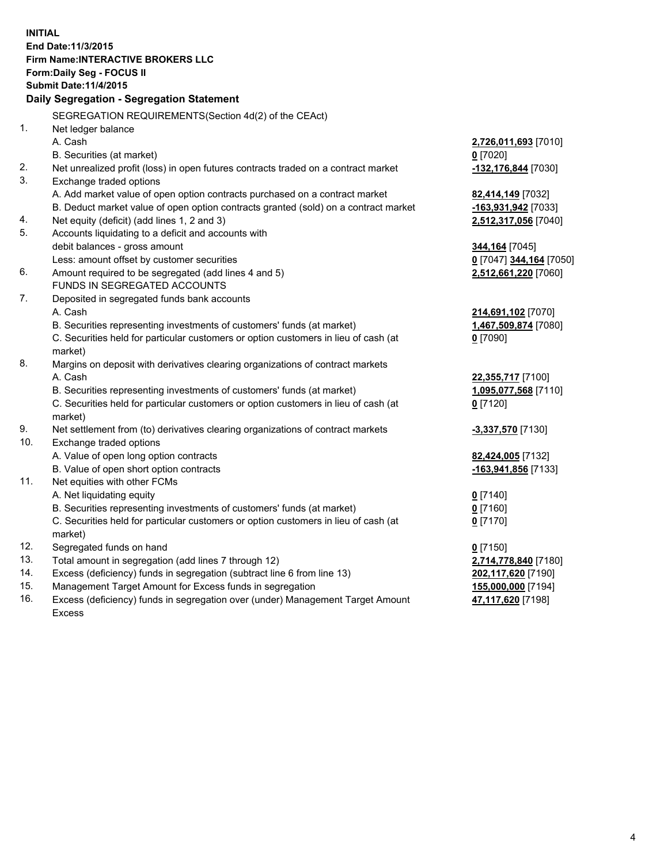**INITIAL End Date:11/3/2015 Firm Name:INTERACTIVE BROKERS LLC Form:Daily Seg - FOCUS II Submit Date:11/4/2015 Daily Segregation - Segregation Statement** SEGREGATION REQUIREMENTS(Section 4d(2) of the CEAct) 1. Net ledger balance A. Cash **2,726,011,693** [7010] B. Securities (at market) **0** [7020] 2. Net unrealized profit (loss) in open futures contracts traded on a contract market **-132,176,844** [7030] 3. Exchange traded options A. Add market value of open option contracts purchased on a contract market **82,414,149** [7032] B. Deduct market value of open option contracts granted (sold) on a contract market **-163,931,942** [7033] 4. Net equity (deficit) (add lines 1, 2 and 3) **2,512,317,056** [7040] 5. Accounts liquidating to a deficit and accounts with debit balances - gross amount **344,164** [7045] Less: amount offset by customer securities **0** [7047] **344,164** [7050] 6. Amount required to be segregated (add lines 4 and 5) **2,512,661,220** [7060] FUNDS IN SEGREGATED ACCOUNTS 7. Deposited in segregated funds bank accounts A. Cash **214,691,102** [7070] B. Securities representing investments of customers' funds (at market) **1,467,509,874** [7080] C. Securities held for particular customers or option customers in lieu of cash (at market) **0** [7090] 8. Margins on deposit with derivatives clearing organizations of contract markets A. Cash **22,355,717** [7100] B. Securities representing investments of customers' funds (at market) **1,095,077,568** [7110] C. Securities held for particular customers or option customers in lieu of cash (at market) **0** [7120] 9. Net settlement from (to) derivatives clearing organizations of contract markets **-3,337,570** [7130] 10. Exchange traded options A. Value of open long option contracts **82,424,005** [7132] B. Value of open short option contracts **-163,941,856** [7133] 11. Net equities with other FCMs A. Net liquidating equity **0** [7140] B. Securities representing investments of customers' funds (at market) **0** [7160] C. Securities held for particular customers or option customers in lieu of cash (at market) **0** [7170] 12. Segregated funds on hand **0** [7150] 13. Total amount in segregation (add lines 7 through 12) **2,714,778,840** [7180] 14. Excess (deficiency) funds in segregation (subtract line 6 from line 13) **202,117,620** [7190] 15. Management Target Amount for Excess funds in segregation **155,000,000** [7194] **47,117,620** [7198]

16. Excess (deficiency) funds in segregation over (under) Management Target Amount Excess